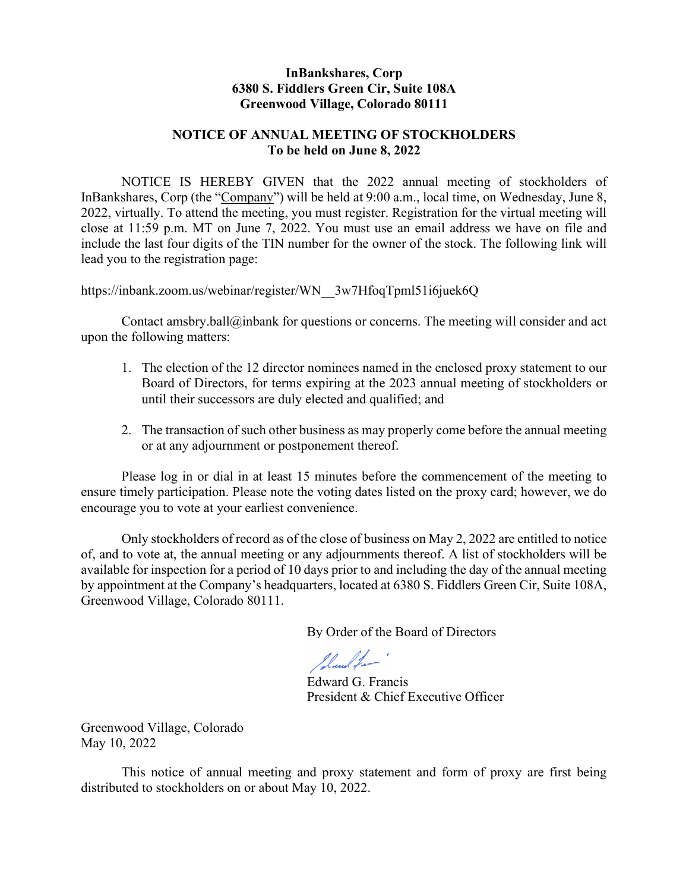# InBankshares, Corp 6380 S. Fiddlers Green Cir, Suite 108A Greenwood Village, Colorado 80111

# NOTICE OF ANNUAL MEETING OF STOCKHOLDERS To be held on June 8, 2022

NOTICE IS HEREBY GIVEN that the 2022 annual meeting of stockholders of InBankshares, Corp (the "Company") will be held at 9:00 a.m., local time, on Wednesday, June 8, 2022, virtually. To attend the meeting, you must register. Registration for the virtual meeting will close at 11:59 p.m. MT on June 7, 2022. You must use an email address we have on file and include the last four digits of the TIN number for the owner of the stock. The following link will lead you to the registration page:

https://inbank.zoom.us/webinar/register/WN\_\_3w7HfoqTpml51i6juek6Q

Contact amsbry.ball@inbank for questions or concerns. The meeting will consider and act upon the following matters:

- 1. The election of the 12 director nominees named in the enclosed proxy statement to our Board of Directors, for terms expiring at the 2023 annual meeting of stockholders or until their successors are duly elected and qualified; and
- 2. The transaction of such other business as may properly come before the annual meeting or at any adjournment or postponement thereof.

 Please log in or dial in at least 15 minutes before the commencement of the meeting to ensure timely participation. Please note the voting dates listed on the proxy card; however, we do encourage you to vote at your earliest convenience.

Only stockholders of record as of the close of business on May 2, 2022 are entitled to notice of, and to vote at, the annual meeting or any adjournments thereof. A list of stockholders will be available for inspection for a period of 10 days prior to and including the day of the annual meeting by appointment at the Company's headquarters, located at 6380 S. Fiddlers Green Cir, Suite 108A, Greenwood Village, Colorado 80111.

By Order of the Board of Directors

Iland for

Edward G. Francis President & Chief Executive Officer

Greenwood Village, Colorado May 10, 2022

This notice of annual meeting and proxy statement and form of proxy are first being distributed to stockholders on or about May 10, 2022.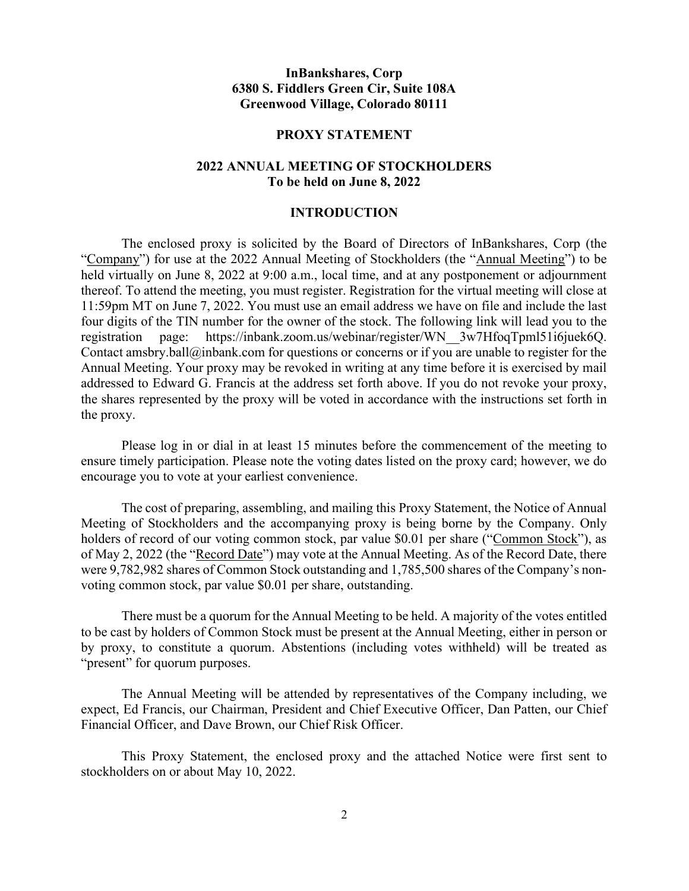# InBankshares, Corp 6380 S. Fiddlers Green Cir, Suite 108A Greenwood Village, Colorado 80111

#### PROXY STATEMENT

# 2022 ANNUAL MEETING OF STOCKHOLDERS To be held on June 8, 2022

### INTRODUCTION

 The enclosed proxy is solicited by the Board of Directors of InBankshares, Corp (the "Company") for use at the 2022 Annual Meeting of Stockholders (the "Annual Meeting") to be held virtually on June 8, 2022 at 9:00 a.m., local time, and at any postponement or adjournment thereof. To attend the meeting, you must register. Registration for the virtual meeting will close at 11:59pm MT on June 7, 2022. You must use an email address we have on file and include the last four digits of the TIN number for the owner of the stock. The following link will lead you to the registration page: https://inbank.zoom.us/webinar/register/WN\_\_3w7HfoqTpml51i6juek6Q. Contact amsbry.ball@inbank.com for questions or concerns or if you are unable to register for the Annual Meeting. Your proxy may be revoked in writing at any time before it is exercised by mail addressed to Edward G. Francis at the address set forth above. If you do not revoke your proxy, the shares represented by the proxy will be voted in accordance with the instructions set forth in the proxy.

Please log in or dial in at least 15 minutes before the commencement of the meeting to ensure timely participation. Please note the voting dates listed on the proxy card; however, we do encourage you to vote at your earliest convenience.

 The cost of preparing, assembling, and mailing this Proxy Statement, the Notice of Annual Meeting of Stockholders and the accompanying proxy is being borne by the Company. Only holders of record of our voting common stock, par value \$0.01 per share ("Common Stock"), as of May 2, 2022 (the "Record Date") may vote at the Annual Meeting. As of the Record Date, there were 9,782,982 shares of Common Stock outstanding and 1,785,500 shares of the Company's nonvoting common stock, par value \$0.01 per share, outstanding.

 There must be a quorum for the Annual Meeting to be held. A majority of the votes entitled to be cast by holders of Common Stock must be present at the Annual Meeting, either in person or by proxy, to constitute a quorum. Abstentions (including votes withheld) will be treated as "present" for quorum purposes.

The Annual Meeting will be attended by representatives of the Company including, we expect, Ed Francis, our Chairman, President and Chief Executive Officer, Dan Patten, our Chief Financial Officer, and Dave Brown, our Chief Risk Officer.

 This Proxy Statement, the enclosed proxy and the attached Notice were first sent to stockholders on or about May 10, 2022.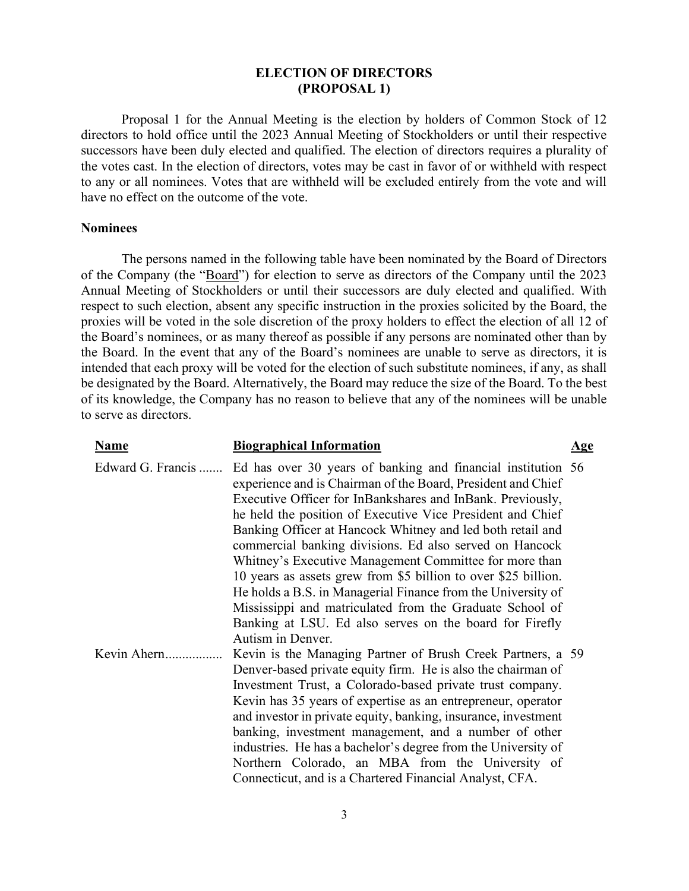# ELECTION OF DIRECTORS (PROPOSAL 1)

 Proposal 1 for the Annual Meeting is the election by holders of Common Stock of 12 directors to hold office until the 2023 Annual Meeting of Stockholders or until their respective successors have been duly elected and qualified. The election of directors requires a plurality of the votes cast. In the election of directors, votes may be cast in favor of or withheld with respect to any or all nominees. Votes that are withheld will be excluded entirely from the vote and will have no effect on the outcome of the vote.

### Nominees

 The persons named in the following table have been nominated by the Board of Directors of the Company (the "Board") for election to serve as directors of the Company until the 2023 Annual Meeting of Stockholders or until their successors are duly elected and qualified. With respect to such election, absent any specific instruction in the proxies solicited by the Board, the proxies will be voted in the sole discretion of the proxy holders to effect the election of all 12 of the Board's nominees, or as many thereof as possible if any persons are nominated other than by the Board. In the event that any of the Board's nominees are unable to serve as directors, it is intended that each proxy will be voted for the election of such substitute nominees, if any, as shall be designated by the Board. Alternatively, the Board may reduce the size of the Board. To the best of its knowledge, the Company has no reason to believe that any of the nominees will be unable to serve as directors.

| <b>Name</b>       | <b>Biographical Information</b>                                                                                                                                                                                                                                                                                                                                                                                                                                                                                                                                                                                                                                                                                           | <u>Age</u> |
|-------------------|---------------------------------------------------------------------------------------------------------------------------------------------------------------------------------------------------------------------------------------------------------------------------------------------------------------------------------------------------------------------------------------------------------------------------------------------------------------------------------------------------------------------------------------------------------------------------------------------------------------------------------------------------------------------------------------------------------------------------|------------|
| Edward G. Francis | Ed has over 30 years of banking and financial institution 56<br>experience and is Chairman of the Board, President and Chief<br>Executive Officer for InBankshares and InBank. Previously,<br>he held the position of Executive Vice President and Chief<br>Banking Officer at Hancock Whitney and led both retail and<br>commercial banking divisions. Ed also served on Hancock<br>Whitney's Executive Management Committee for more than<br>10 years as assets grew from \$5 billion to over \$25 billion.<br>He holds a B.S. in Managerial Finance from the University of<br>Mississippi and matriculated from the Graduate School of<br>Banking at LSU. Ed also serves on the board for Firefly<br>Autism in Denver. |            |
| Kevin Ahern       | Kevin is the Managing Partner of Brush Creek Partners, a 59<br>Denver-based private equity firm. He is also the chairman of<br>Investment Trust, a Colorado-based private trust company.<br>Kevin has 35 years of expertise as an entrepreneur, operator<br>and investor in private equity, banking, insurance, investment<br>banking, investment management, and a number of other<br>industries. He has a bachelor's degree from the University of<br>Northern Colorado, an MBA from the University of<br>Connecticut, and is a Chartered Financial Analyst, CFA.                                                                                                                                                       |            |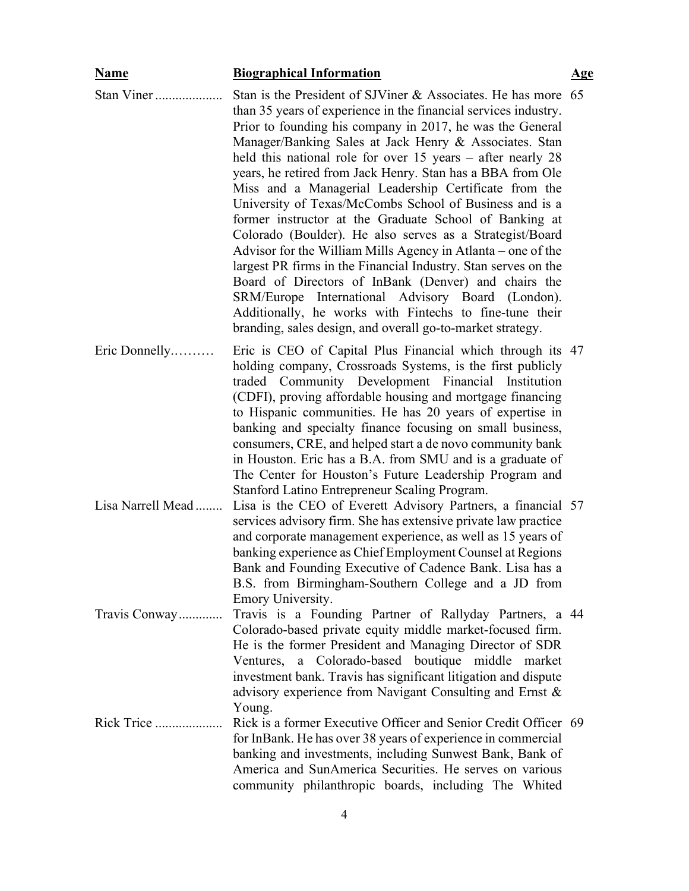| <b>Name</b>       | <b>Biographical Information</b>                                                                                                                                                                                                                                                                                                                                                                                                                                                                                                                                                                                                                                                                                                                                                                                                                                                                                                                                                                            | <u>Age</u> |
|-------------------|------------------------------------------------------------------------------------------------------------------------------------------------------------------------------------------------------------------------------------------------------------------------------------------------------------------------------------------------------------------------------------------------------------------------------------------------------------------------------------------------------------------------------------------------------------------------------------------------------------------------------------------------------------------------------------------------------------------------------------------------------------------------------------------------------------------------------------------------------------------------------------------------------------------------------------------------------------------------------------------------------------|------------|
| Stan Viner        | Stan is the President of SJViner & Associates. He has more 65<br>than 35 years of experience in the financial services industry.<br>Prior to founding his company in 2017, he was the General<br>Manager/Banking Sales at Jack Henry & Associates. Stan<br>held this national role for over $15$ years – after nearly $28$<br>years, he retired from Jack Henry. Stan has a BBA from Ole<br>Miss and a Managerial Leadership Certificate from the<br>University of Texas/McCombs School of Business and is a<br>former instructor at the Graduate School of Banking at<br>Colorado (Boulder). He also serves as a Strategist/Board<br>Advisor for the William Mills Agency in Atlanta – one of the<br>largest PR firms in the Financial Industry. Stan serves on the<br>Board of Directors of InBank (Denver) and chairs the<br>SRM/Europe International Advisory Board (London).<br>Additionally, he works with Fintechs to fine-tune their<br>branding, sales design, and overall go-to-market strategy. |            |
| Eric Donnelly     | Eric is CEO of Capital Plus Financial which through its 47<br>holding company, Crossroads Systems, is the first publicly<br>traded Community Development Financial Institution<br>(CDFI), proving affordable housing and mortgage financing<br>to Hispanic communities. He has 20 years of expertise in<br>banking and specialty finance focusing on small business,<br>consumers, CRE, and helped start a de novo community bank<br>in Houston. Eric has a B.A. from SMU and is a graduate of<br>The Center for Houston's Future Leadership Program and<br>Stanford Latino Entrepreneur Scaling Program.                                                                                                                                                                                                                                                                                                                                                                                                  |            |
| Lisa Narrell Mead | Lisa is the CEO of Everett Advisory Partners, a financial 57<br>services advisory firm. She has extensive private law practice<br>and corporate management experience, as well as 15 years of<br>banking experience as Chief Employment Counsel at Regions<br>Bank and Founding Executive of Cadence Bank. Lisa has a<br>B.S. from Birmingham-Southern College and a JD from<br>Emory University.                                                                                                                                                                                                                                                                                                                                                                                                                                                                                                                                                                                                          |            |
| Travis Conway     | Travis is a Founding Partner of Rallyday Partners, a 44<br>Colorado-based private equity middle market-focused firm.<br>He is the former President and Managing Director of SDR<br>Ventures, a Colorado-based boutique middle market<br>investment bank. Travis has significant litigation and dispute<br>advisory experience from Navigant Consulting and Ernst &<br>Young.                                                                                                                                                                                                                                                                                                                                                                                                                                                                                                                                                                                                                               |            |
| Rick Trice        | Rick is a former Executive Officer and Senior Credit Officer 69<br>for InBank. He has over 38 years of experience in commercial<br>banking and investments, including Sunwest Bank, Bank of<br>America and SunAmerica Securities. He serves on various<br>community philanthropic boards, including The Whited                                                                                                                                                                                                                                                                                                                                                                                                                                                                                                                                                                                                                                                                                             |            |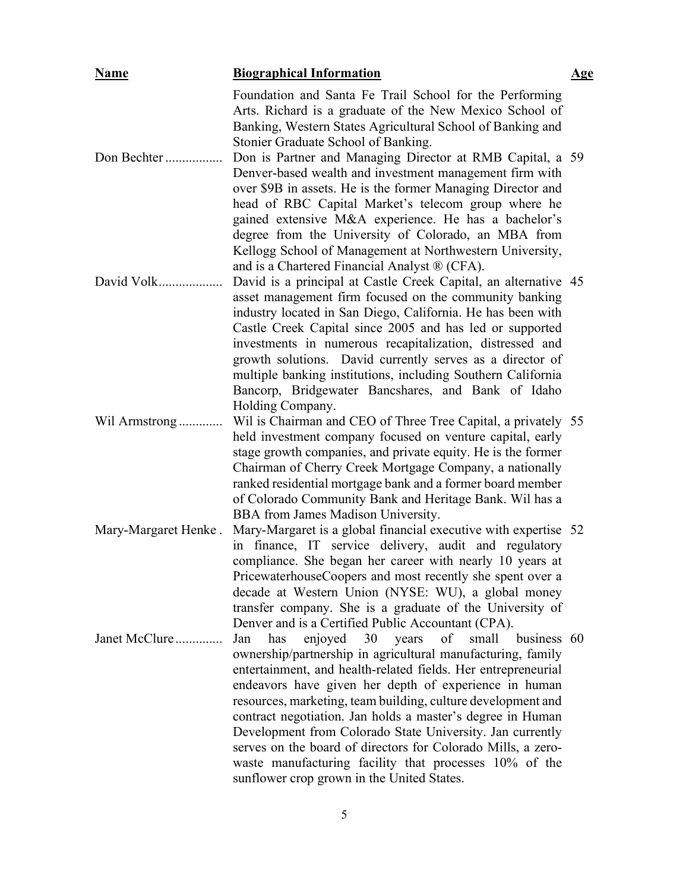| <b>Name</b>          | <b>Biographical Information</b>                                                                                                                                                                                                                                                                                                                                                                                                                                                                                                                                                                                             | <u>Age</u> |
|----------------------|-----------------------------------------------------------------------------------------------------------------------------------------------------------------------------------------------------------------------------------------------------------------------------------------------------------------------------------------------------------------------------------------------------------------------------------------------------------------------------------------------------------------------------------------------------------------------------------------------------------------------------|------------|
|                      | Foundation and Santa Fe Trail School for the Performing<br>Arts. Richard is a graduate of the New Mexico School of<br>Banking, Western States Agricultural School of Banking and<br>Stonier Graduate School of Banking.                                                                                                                                                                                                                                                                                                                                                                                                     |            |
| Don Bechter          | Don is Partner and Managing Director at RMB Capital, a 59<br>Denver-based wealth and investment management firm with<br>over \$9B in assets. He is the former Managing Director and<br>head of RBC Capital Market's telecom group where he<br>gained extensive M&A experience. He has a bachelor's<br>degree from the University of Colorado, an MBA from<br>Kellogg School of Management at Northwestern University,<br>and is a Chartered Financial Analyst ® (CFA).                                                                                                                                                      |            |
| David Volk           | David is a principal at Castle Creek Capital, an alternative 45<br>asset management firm focused on the community banking<br>industry located in San Diego, California. He has been with<br>Castle Creek Capital since 2005 and has led or supported<br>investments in numerous recapitalization, distressed and<br>growth solutions. David currently serves as a director of<br>multiple banking institutions, including Southern California<br>Bancorp, Bridgewater Bancshares, and Bank of Idaho<br>Holding Company.                                                                                                     |            |
| Wil Armstrong        | Wil is Chairman and CEO of Three Tree Capital, a privately 55<br>held investment company focused on venture capital, early<br>stage growth companies, and private equity. He is the former<br>Chairman of Cherry Creek Mortgage Company, a nationally<br>ranked residential mortgage bank and a former board member<br>of Colorado Community Bank and Heritage Bank. Wil has a<br>BBA from James Madison University.                                                                                                                                                                                                        |            |
| Mary-Margaret Henke. | Mary-Margaret is a global financial executive with expertise 52<br>in finance, IT service delivery, audit and regulatory<br>compliance. She began her career with nearly 10 years at<br>PricewaterhouseCoopers and most recently she spent over a<br>decade at Western Union (NYSE: WU), a global money<br>transfer company. She is a graduate of the University of<br>Denver and is a Certified Public Accountant (CPA).                                                                                                                                                                                                   |            |
| Janet McClure        | of<br>enjoyed 30<br>years<br>small<br>business 60<br>Jan<br>has<br>ownership/partnership in agricultural manufacturing, family<br>entertainment, and health-related fields. Her entrepreneurial<br>endeavors have given her depth of experience in human<br>resources, marketing, team building, culture development and<br>contract negotiation. Jan holds a master's degree in Human<br>Development from Colorado State University. Jan currently<br>serves on the board of directors for Colorado Mills, a zero-<br>waste manufacturing facility that processes 10% of the<br>sunflower crop grown in the United States. |            |